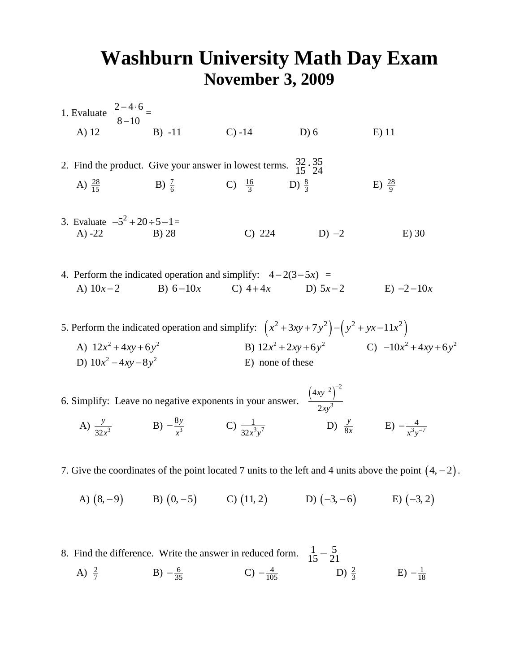## **Washburn University Math Day Exam November 3, 2009**

 $-4.6$ 

- 1. Evaluate  $\frac{2-4.6}{2}$  $8 - 10$  $\overline{\phantom{a}}$ = A) 12 B) -11 C) -14 D) 6 E) 11 2. Find the product. Give your answer in lowest terms.  $\frac{32}{15} \cdot \frac{35}{24}$  $\frac{32}{15} \cdot \frac{35}{24}$ A)  $\frac{28}{15}$  $\frac{28}{15}$  B)  $\frac{7}{6}$  $\frac{7}{6}$  C)  $\frac{16}{3}$  $\frac{6}{3}$  D)  $\frac{8}{3}$ 3 E)  $\frac{28}{0}$ 9 3. Evaluate  $-5^2 + 20 \div 5 - 1 =$ A) -22 B) 28 C) 224 D)  $-2$  E) 30 4. Perform the indicated operation and simplify:  $4-2(3-5x) =$ A)  $10x-2$  B) 6 – 10x C) 4 + 4x D)  $E) -2 -10x$ 5. Perform the indicated operation and simplify:  $(x^2 + 3xy + 7y^2) - (y^2 + yx - 11x^2)$ A)  $12x^2 + 4xy + 6y^2$  B)  $12x^2 + 2xy + 6y^2$  C)  $-10x^2 + 4xy + 6y^2$ D)  $10x^2 - 4xy - 8y^2$  E) none of these 6. Simplify: Leave no negative exponents in your answer.  $\frac{(4xy)^2}{2}$  $(2)^{-2}$ 3 4 2 *xy xy*  $-2$ <sup>-2</sup>
	- A)  $\frac{y}{32x^3}$ *y*  $\frac{x^3}{x^3}$  B)  $-\frac{6y}{x^3}$ 8*y*  $-\frac{8y}{x^3}$  C)  $\frac{1}{32x^3y^7}$  $rac{1}{32x^3y^7}$  D)  $rac{3}{8}$ *y*  $\frac{x}{x}$  E)  $-\frac{4}{x^3x^{-7}}$  $-\frac{4}{x^3y^{-}}$
- 7. Give the coordinates of the point located 7 units to the left and 4 units above the point  $(4, -2)$ .
- A)  $(8, -9)$  B)  $(0, -5)$  C)  $(11, 2)$  D)  $(-3, -6)$  E)  $(-3, 2)$
- 8. Find the difference. Write the answer in reduced form.  $\frac{1}{15} \frac{5}{21}$ 
	- A)  $\frac{2}{7}$ 7 B)  $-\frac{6}{35}$  C)  $-\frac{4}{105}$  D)  $\frac{2}{3}$  $\frac{2}{3}$  E)  $-\frac{1}{18}$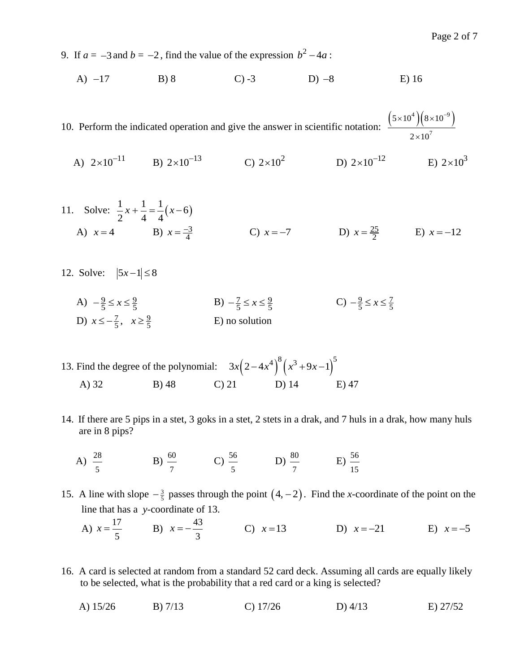9. If  $a = -3$  and  $b = -2$ , find the value of the expression  $b^2 - 4a$ :

A) 
$$
-17
$$
 B) 8 C) -3 D) -8 E) 16

10. Perform the indicated operation and give the answer in scientific notation:  $(5 \times 10^4)(8 \times 10^{-9})$ 7  $5\times 10^{4}$   $(8\times 10$  $2 \times 10$  $\times 10^{4}$   $(8\times10^{-7})$  $\times$ 

A)  $2 \times 10^{-11}$  B)  $2 \times 10^{-13}$  C)  $2 \times 10^{2}$  D)  $2 \times 10^{-12}$  E)  $2 \times 10^{3}$ 

11. Solve: 
$$
\frac{1}{2}x + \frac{1}{4} = \frac{1}{4}(x-6)
$$
  
\nA)  $x = 4$  \tB)  $x = \frac{-3}{4}$  \tC)  $x = -7$  \tD)  $x = \frac{25}{2}$  \tE)  $x = -12$ 

- 12. Solve:  $|5x-1| \le 8$ 
	- A)  $-\frac{9}{5} \le x \le \frac{9}{5}$  <br>B)  $-\frac{7}{5} \le x \le \frac{9}{5}$  <br>C)  $-\frac{9}{5} \le x \le \frac{7}{5}$ D)  $x \le -\frac{7}{5}, \quad x \ge \frac{9}{5}$ E) no solution
- 13. Find the degree of the polynomial:  $3x(2-4x^4)^8(x^3+9x-1)^5$ A) 32 B) 48 C) 21 D) 14 E) 47
- 14. If there are 5 pips in a stet, 3 goks in a stet, 2 stets in a drak, and 7 huls in a drak, how many huls are in 8 pips?
	- A)  $\frac{28}{5}$ 5  $B) \frac{60}{ }$ 7 C)  $\frac{56}{5}$ 5  $D) \frac{80}{ }$ 7  $E) \frac{56}{ }$ 15
- 15. A line with slope  $-\frac{3}{5}$  passes through the point  $(4, -2)$ . Find the *x*-coordinate of the point on the line that has a *y-*coordinate of 13.

A) 
$$
x = \frac{17}{5}
$$
 \t B)  $x = -\frac{43}{3}$  \t C)  $x = 13$  \t D)  $x = -21$  \t E)  $x = -5$ 

- 16. A card is selected at random from a standard 52 card deck. Assuming all cards are equally likely to be selected, what is the probability that a red card or a king is selected?
- A) 15/26 B) 7/13 C) 17/26 D) 4/13 E) 27/52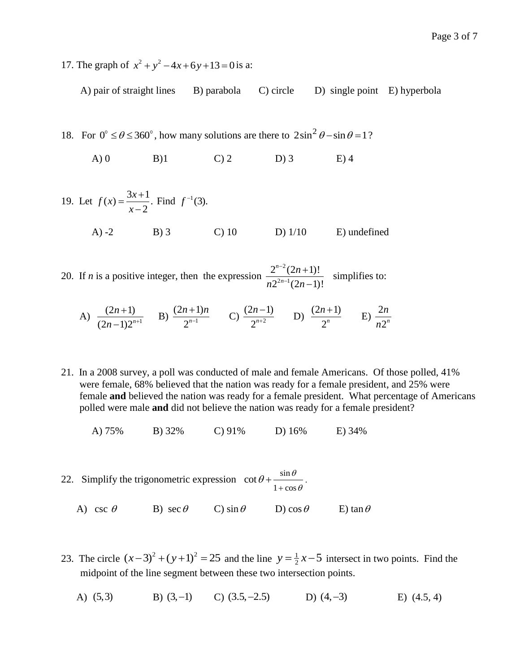17. The graph of  $x^2 + y^2 - 4x + 6y + 13 = 0$  is a:

A) pair of straight lines B) parabola C) circle D) single point E) hyperbola

18. For  $0^\circ \leq \theta \leq 360^\circ$ , how many solutions are there to  $2\sin^2 \theta - \sin \theta = 1$ ?

A) 0 B) 1 C) 2 D) 3 E) 4

19. Let 
$$
f(x) = \frac{3x+1}{x-2}
$$
. Find  $f^{-1}(3)$ .  
A) -2 B) 3  
C) 10  
D) 1/10  
E) undefined

20. If  $n$  is a positive integer, then the expression 2  $2n-1$  $2^{n-2}(2n+1)!$  $2^{2n-1}(2n-1)!$ *n n n*  $n 2^{2n-1} (2n$  $\overline{a}$ - $\ddot{}$  $\overline{a}$ simplifies to:

A) 
$$
\frac{(2n+1)}{(2n-1)2^{n+1}}
$$
 B)  $\frac{(2n+1)n}{2^{n-1}}$  C)  $\frac{(2n-1)}{2^{n+2}}$  D)  $\frac{(2n+1)}{2^n}$  E)  $\frac{2n}{n2^n}$ 

21. In a 2008 survey, a poll was conducted of male and female Americans. Of those polled, 41% were female, 68% believed that the nation was ready for a female president, and 25% were female **and** believed the nation was ready for a female president. What percentage of Americans polled were male **and** did not believe the nation was ready for a female president?

A) 75% B) 32% C) 91% D) 16% E) 34%

- 22. Simplify the trigonometric expression  $\cot \theta + \frac{\sin \theta}{\sin \theta}$  $1 + \cos$  $\cot \theta + \frac{\sin \theta}{\cos \theta}$  $\theta$  $\theta$  $^{+}$  $+\frac{\sin \theta}{\cos \theta}$ . A) csc  $\theta$ B) sec  $\theta$  $\theta$  C) sin  $\theta$  D) cos  $\theta$  E) tan  $\theta$
- 23. The circle  $(x-3)^2 + (y+1)^2 = 25$  and the line  $y = \frac{1}{2}$  $y = \frac{1}{2}x - 5$  intersect in two points. Find the midpoint of the line segment between these two intersection points.
	- A) (5,3) B)  $(3,-1)$  C)  $(3.5,-2.5)$  D)  $E)$  (4.5, 4)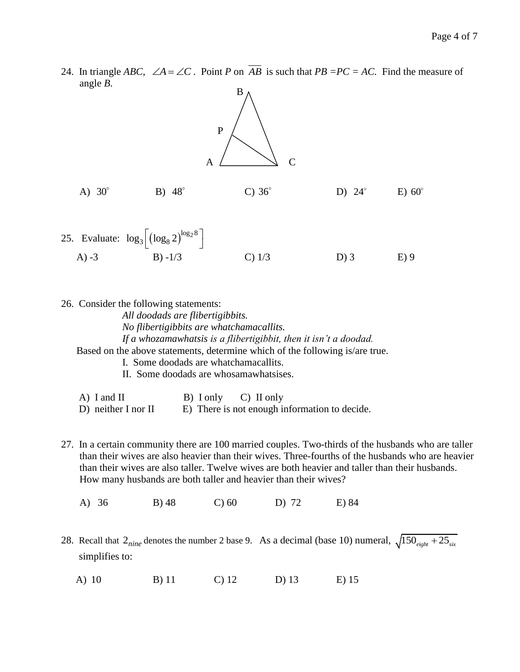24. In triangle *ABC*,  $\angle A = \angle C$ . Point *P* on  $\overline{AB}$  is such that  $PB = PC = AC$ . Find the measure of angle *B*. B



A) -3 B) -1/3 C) 1/3 D) 3 E) 9

26. Consider the following statements: *All doodads are flibertigibbits. No flibertigibbits are whatchamacallits. If a whozamawhatsis is a flibertigibbit, then it isn't a doodad.* Based on the above statements, determine which of the following is/are true. I. Some doodads are whatchamacallits. II. Some doodads are whosamawhatsises.

A) I and II B) I only C) II only D) neither I nor II E) There is not enough information to decide.

- 27. In a certain community there are 100 married couples. Two-thirds of the husbands who are taller than their wives are also heavier than their wives. Three-fourths of the husbands who are heavier than their wives are also taller. Twelve wives are both heavier and taller than their husbands. How many husbands are both taller and heavier than their wives?
	- A) 36 B) 48 C) 60 D) 72 E) 84
- 28. Recall that  $2_{nine}$  denotes the number 2 base 9. As a decimal (base 10) numeral,  $\sqrt{150_{\text{eight}} + 25_{\text{six}}}$  simplifies to:
	- A) 10 B) 11 C) 12 D) 13 E) 15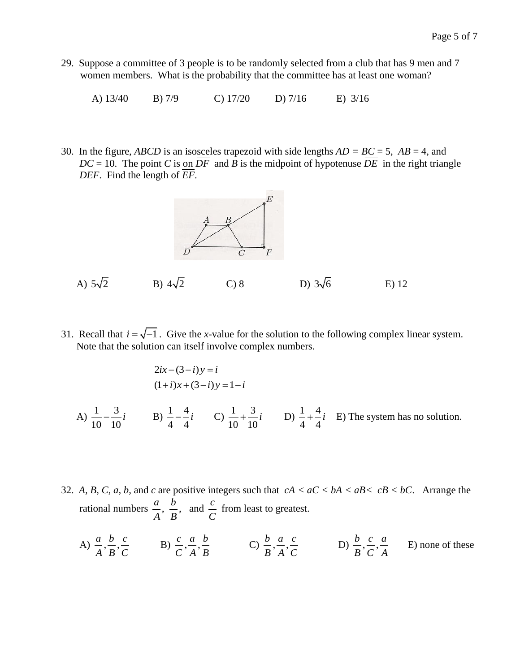29. Suppose a committee of 3 people is to be randomly selected from a club that has 9 men and 7 women members. What is the probability that the committee has at least one woman?

A) 13/40 B) 7/9 C) 17/20 D) 7/16 E) 3/16

30. In the figure, *ABCD* is an isosceles trapezoid with side lengths  $AD = BC = 5$ ,  $AB = 4$ , and  $DC = 10$ . The point *C* is on  $\overline{DF}$  and *B* is the midpoint of hypotenuse  $\overline{DE}$  in the right triangle *DEF*. Find the length of *EF*.



A)  $5\sqrt{2}$  B)  $4\sqrt{2}$ C) 8 D)  $3\sqrt{6}$ E) 12

31. Recall that  $i = \sqrt{-1}$ . Give the *x*-value for the solution to the following complex linear system. Note that the solution can itself involve complex numbers.

$$
2ix - (3-i)y = i
$$
  
(1+i)x + (3-i)y = 1-i  
A)  $\frac{1}{10} - \frac{3}{10}i$  \t B)  $\frac{1}{4} - \frac{4}{4}i$  \t C)  $\frac{1}{10} + \frac{3}{10}i$  \t D)  $\frac{1}{4} + \frac{4}{4}i$  \t E) The system has no solution.

- 32. A, B, C, a, b, and c are positive integers such that  $cA < aC < bA < aB < cB < bC$ . Arrange the rational numbers  $\frac{a}{a}$ ,  $\frac{b}{b}$ , and  $\frac{c}{c}$  $\frac{a}{A}$ ,  $\frac{b}{B}$ , and  $\frac{c}{C}$  from least to greatest.
	- A)  $\frac{a}{\cdot}$ ,  $\frac{b}{\cdot}$ ,  $\frac{c}{\cdot}$ *A B C* B)  $\frac{c}{\epsilon}, \frac{a}{\epsilon}, \frac{b}{\epsilon}$ *C A B* C)  $\frac{b}{\pi}, \frac{a}{\pi}, \frac{c}{\pi}$ *B A C* D)  $\frac{b}{\pi}, \frac{c}{\pi}, \frac{a}{\pi}$ *B C A* E) none of these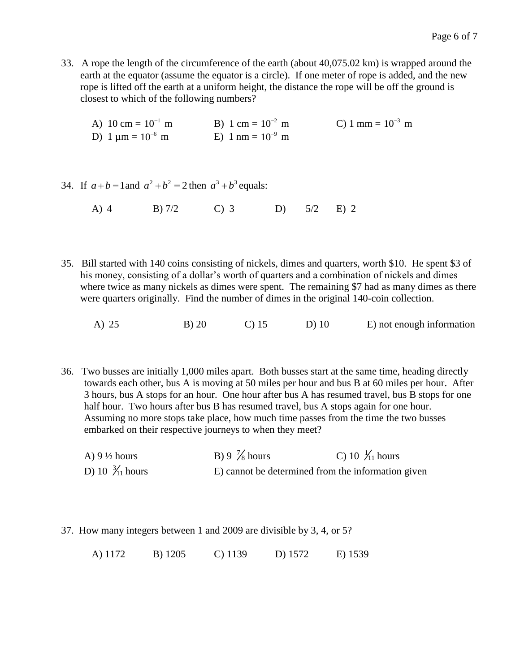- 33. A rope the length of the circumference of the earth (about 40,075.02 km) is wrapped around the earth at the equator (assume the equator is a circle). If one meter of rope is added, and the new rope is lifted off the earth at a uniform height, the distance the rope will be off the ground is closest to which of the following numbers?
	- A)  $10 \text{ cm} = 10^{-1}$  $10^{-1}$  m B) 1 cm =  $10^{-2}$  $10^{-2}$  m C) 1 mm =  $10^{-3}$  m D) 1  $\mu$ m =  $10^{-6}$  $10^{-6}$  m E) 1 nm =  $10^{-9}$  m
- 34. If  $a + b = 1$  and  $a^2 + b^2 = 2$  then  $a^3 + b^3$  equals:
	- A) 4 B) 7/2 C) 3 D) 5/2 E) 2
- 35. Bill started with 140 coins consisting of nickels, dimes and quarters, worth \$10. He spent \$3 of his money, consisting of a dollar's worth of quarters and a combination of nickels and dimes where twice as many nickels as dimes were spent. The remaining \$7 had as many dimes as there were quarters originally. Find the number of dimes in the original 140-coin collection.
	- A) 25 B) 20 C) 15 D) 10 E) not enough information
- 36. Two busses are initially 1,000 miles apart. Both busses start at the same time, heading directly towards each other, bus A is moving at 50 miles per hour and bus B at 60 miles per hour. After 3 hours, bus A stops for an hour. One hour after bus A has resumed travel, bus B stops for one half hour. Two hours after bus B has resumed travel, bus A stops again for one hour. Assuming no more stops take place, how much time passes from the time the two busses embarked on their respective journeys to when they meet?
	- A)  $9\frac{1}{2}$  hours 7 8 hours C) 10  $\frac{1}{11}$  hours D) 10  $\frac{3}{11}$ E) cannot be determined from the information given
- 37. How many integers between 1 and 2009 are divisible by 3, 4, or 5?

A) 1172 B) 1205 C) 1139 D) 1572 E) 1539